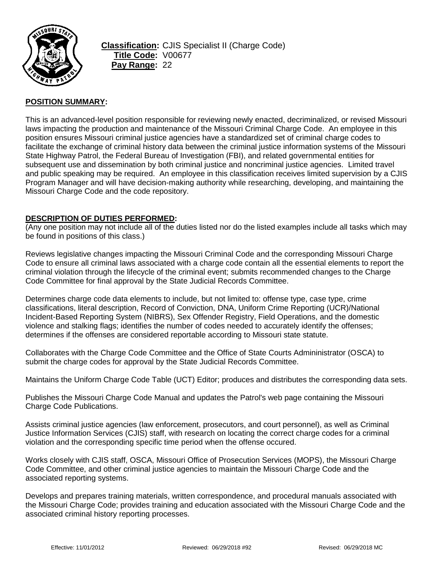

**Classification:** CJIS Specialist II (Charge Code) **Title Code:** V00677 **Pay Range:** 22

## **POSITION SUMMARY:**

This is an advanced-level position responsible for reviewing newly enacted, decriminalized, or revised Missouri laws impacting the production and maintenance of the Missouri Criminal Charge Code. An employee in this position ensures Missouri criminal justice agencies have a standardized set of criminal charge codes to facilitate the exchange of criminal history data between the criminal justice information systems of the Missouri State Highway Patrol, the Federal Bureau of Investigation (FBI), and related governmental entities for subsequent use and dissemination by both criminal justice and noncriminal justice agencies. Limited travel and public speaking may be required. An employee in this classification receives limited supervision by a CJIS Program Manager and will have decision-making authority while researching, developing, and maintaining the Missouri Charge Code and the code repository.

## **DESCRIPTION OF DUTIES PERFORMED:**

(Any one position may not include all of the duties listed nor do the listed examples include all tasks which may be found in positions of this class.)

Reviews legislative changes impacting the Missouri Criminal Code and the corresponding Missouri Charge Code to ensure all criminal laws associated with a charge code contain all the essential elements to report the criminal violation through the lifecycle of the criminal event; submits recommended changes to the Charge Code Committee for final approval by the State Judicial Records Committee.

Determines charge code data elements to include, but not limited to: offense type, case type, crime classifications, literal description, Record of Conviction, DNA, Uniform Crime Reporting (UCR)/National Incident-Based Reporting System (NIBRS), Sex Offender Registry, Field Operations, and the domestic violence and stalking flags; identifies the number of codes needed to accurately identify the offenses; determines if the offenses are considered reportable according to Missouri state statute.

Collaborates with the Charge Code Committee and the Office of State Courts Admininistrator (OSCA) to submit the charge codes for approval by the State Judicial Records Committee.

Maintains the Uniform Charge Code Table (UCT) Editor; produces and distributes the corresponding data sets.

Publishes the Missouri Charge Code Manual and updates the Patrol's web page containing the Missouri Charge Code Publications.

Assists criminal justice agencies (law enforcement, prosecutors, and court personnel), as well as Criminal Justice Information Services (CJIS) staff, with research on locating the correct charge codes for a criminal violation and the corresponding specific time period when the offense occured.

Works closely with CJIS staff, OSCA, Missouri Office of Prosecution Services (MOPS), the Missouri Charge Code Committee, and other criminal justice agencies to maintain the Missouri Charge Code and the associated reporting systems.

Develops and prepares training materials, written correspondence, and procedural manuals associated with the Missouri Charge Code; provides training and education associated with the Missouri Charge Code and the associated criminal history reporting processes.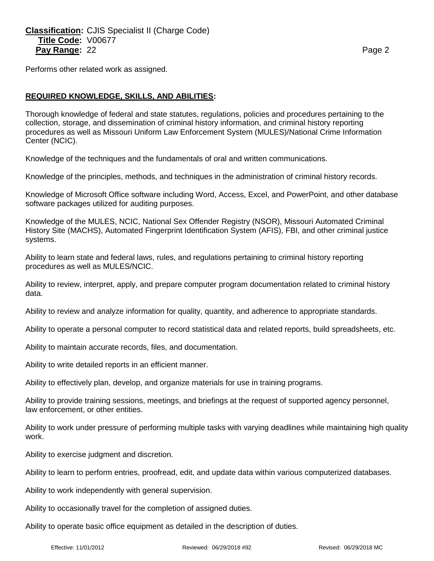**Classification:** CJIS Specialist II (Charge Code) **Title Code:** V00677 **Pay Range:** 22 **Page 2 Page 2 Page 2 Page 2 Page 2** 

Performs other related work as assigned.

## **REQUIRED KNOWLEDGE, SKILLS, AND ABILITIES:**

Thorough knowledge of federal and state statutes, regulations, policies and procedures pertaining to the collection, storage, and dissemination of criminal history information, and criminal history reporting procedures as well as Missouri Uniform Law Enforcement System (MULES)/National Crime Information Center (NCIC).

Knowledge of the techniques and the fundamentals of oral and written communications.

Knowledge of the principles, methods, and techniques in the administration of criminal history records.

Knowledge of Microsoft Office software including Word, Access, Excel, and PowerPoint, and other database software packages utilized for auditing purposes.

Knowledge of the MULES, NCIC, National Sex Offender Registry (NSOR), Missouri Automated Criminal History Site (MACHS), Automated Fingerprint Identification System (AFIS), FBI, and other criminal justice systems.

Ability to learn state and federal laws, rules, and regulations pertaining to criminal history reporting procedures as well as MULES/NCIC.

Ability to review, interpret, apply, and prepare computer program documentation related to criminal history data.

Ability to review and analyze information for quality, quantity, and adherence to appropriate standards.

Ability to operate a personal computer to record statistical data and related reports, build spreadsheets, etc.

Ability to maintain accurate records, files, and documentation.

Ability to write detailed reports in an efficient manner.

Ability to effectively plan, develop, and organize materials for use in training programs.

Ability to provide training sessions, meetings, and briefings at the request of supported agency personnel, law enforcement, or other entities.

Ability to work under pressure of performing multiple tasks with varying deadlines while maintaining high quality work.

Ability to exercise judgment and discretion.

Ability to learn to perform entries, proofread, edit, and update data within various computerized databases.

Ability to work independently with general supervision.

Ability to occasionally travel for the completion of assigned duties.

Ability to operate basic office equipment as detailed in the description of duties.